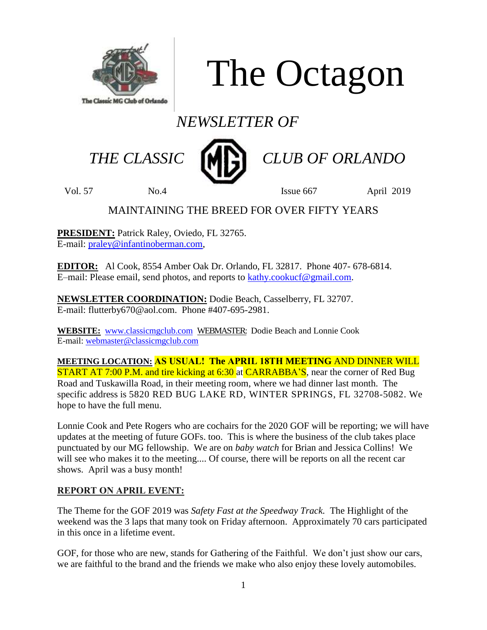

The Octagon

# *NEWSLETTER OF*



 *THE CLASSIC CLUB OF ORLANDO*

Vol. 57 No.4 Issue 667 April 2019

### MAINTAINING THE BREED FOR OVER FIFTY YEARS

**PRESIDENT:** Patrick Raley, Oviedo, FL 32765. E-mail: [praley@infantinoberman.com,](mailto:praley@infantinoberman.com)

**EDITOR:** Al Cook, 8554 Amber Oak Dr. Orlando, FL 32817. Phone 407- 678-6814. E–mail: Please email, send photos, and reports to [kathy.cookucf@gmail.com.](mailto:kathy.cookucf@gmail.com)

**NEWSLETTER COORDINATION:** Dodie Beach, Casselberry, FL 32707. E-mail: flutterby670@aol.com. Phone #407-695-2981.

**WEBSITE:** [www.classicmgclub.com](http://www.classicmgclub.com/) WEBMASTER: Dodie Beach and Lonnie Cook E-mail[: webmaster@classicmgclub.com](mailto:webmaster@classicmgclub.com)

**MEETING LOCATION: AS USUAL! The APRIL 18TH MEETING** AND DINNER WILL **START AT 7:00 P.M. and tire kicking at 6:30 at CARRABBA'S, near the corner of Red Bug** Road and Tuskawilla Road, in their meeting room, where we had dinner last month. The specific address is 5820 RED BUG LAKE RD, WINTER SPRINGS, FL 32708-5082. We hope to have the full menu.

Lonnie Cook and Pete Rogers who are cochairs for the 2020 GOF will be reporting; we will have updates at the meeting of future GOFs. too. This is where the business of the club takes place punctuated by our MG fellowship. We are on *baby watch* for Brian and Jessica Collins! We will see who makes it to the meeting.... Of course, there will be reports on all the recent car shows. April was a busy month!

### **REPORT ON APRIL EVENT:**

The Theme for the GOF 2019 was *Safety Fast at the Speedway Track.* The Highlight of the weekend was the 3 laps that many took on Friday afternoon. Approximately 70 cars participated in this once in a lifetime event.

GOF, for those who are new, stands for Gathering of the Faithful. We don't just show our cars, we are faithful to the brand and the friends we make who also enjoy these lovely automobiles.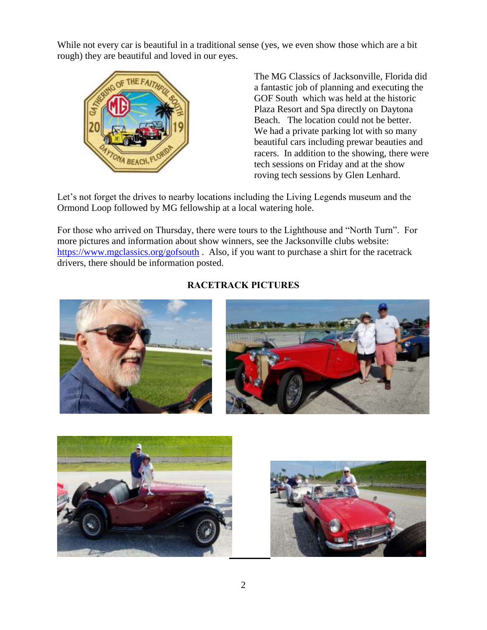While not every car is beautiful in a traditional sense (yes, we even show those which are a bit rough) they are beautiful and loved in our eyes.



The MG Classics of Jacksonville, Florida did a fantastic job of planning and executing the GOF South which was held at the historic Plaza Resort and Spa directly on Daytona Beach. The location could not be better. We had a private parking lot with so many beautiful cars including prewar beauties and racers. In addition to the showing, there were tech sessions on Friday and at the show roving tech sessions by Glen Lenhard.

Let's not forget the drives to nearby locations including the Living Legends museum and the Ormond Loop followed by MG fellowship at a local watering hole.

For those who arrived on Thursday, there were tours to the Lighthouse and "North Turn". For more pictures and information about show winners, see the Jacksonville clubs website: <https://www.mgclassics.org/gofsouth> . Also, if you want to purchase a shirt for the racetrack drivers, there should be information posted.



### **RACETRACK PICTURES**



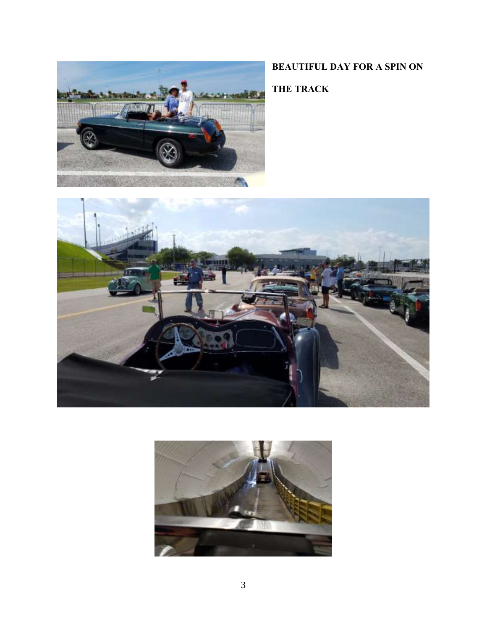

### **BEAUTIFUL DAY FOR A SPIN ON**

**THE TRACK**



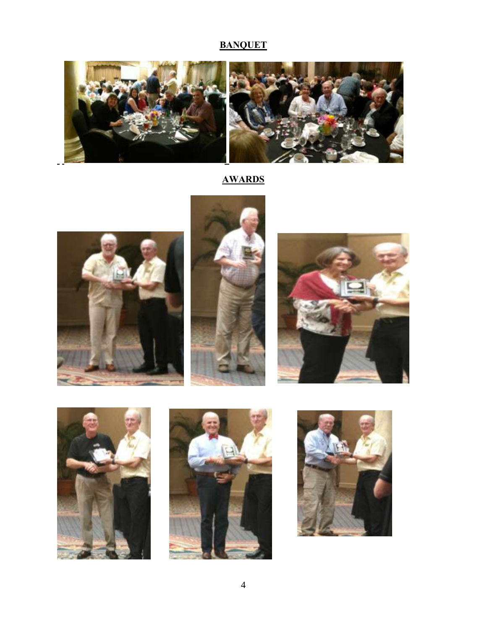### **BANQUET**



## **AWARDS**